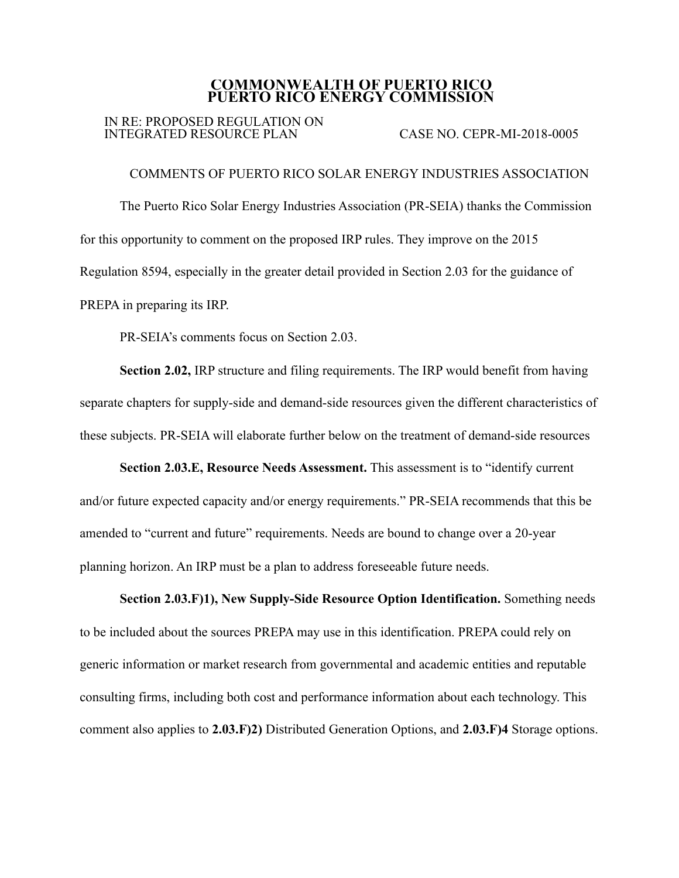## **COMMONWEALTH OF PUERTO RICO PUERTO RICO ENERGY COMMISSION**

## IN RE: PROPOSED REGULATION ON INTEGRATED RESOURCE PLAN CASE NO. CEPR-MI-2018-0005

COMMENTS OF PUERTO RICO SOLAR ENERGY INDUSTRIES ASSOCIATION The Puerto Rico Solar Energy Industries Association (PR-SEIA) thanks the Commission for this opportunity to comment on the proposed IRP rules. They improve on the 2015 Regulation 8594, especially in the greater detail provided in Section 2.03 for the guidance of PREPA in preparing its IRP.

PR-SEIA's comments focus on Section 2.03.

**Section 2.02,** IRP structure and filing requirements. The IRP would benefit from having separate chapters for supply-side and demand-side resources given the different characteristics of these subjects. PR-SEIA will elaborate further below on the treatment of demand-side resources

**Section 2.03.E, Resource Needs Assessment.** This assessment is to "identify current and/or future expected capacity and/or energy requirements." PR-SEIA recommends that this be amended to "current and future" requirements. Needs are bound to change over a 20-year planning horizon. An IRP must be a plan to address foreseeable future needs.

**Section 2.03.F)1), New Supply-Side Resource Option Identification.** Something needs to be included about the sources PREPA may use in this identification. PREPA could rely on generic information or market research from governmental and academic entities and reputable consulting firms, including both cost and performance information about each technology. This comment also applies to **2.03.F)2)** Distributed Generation Options, and **2.03.F)4** Storage options.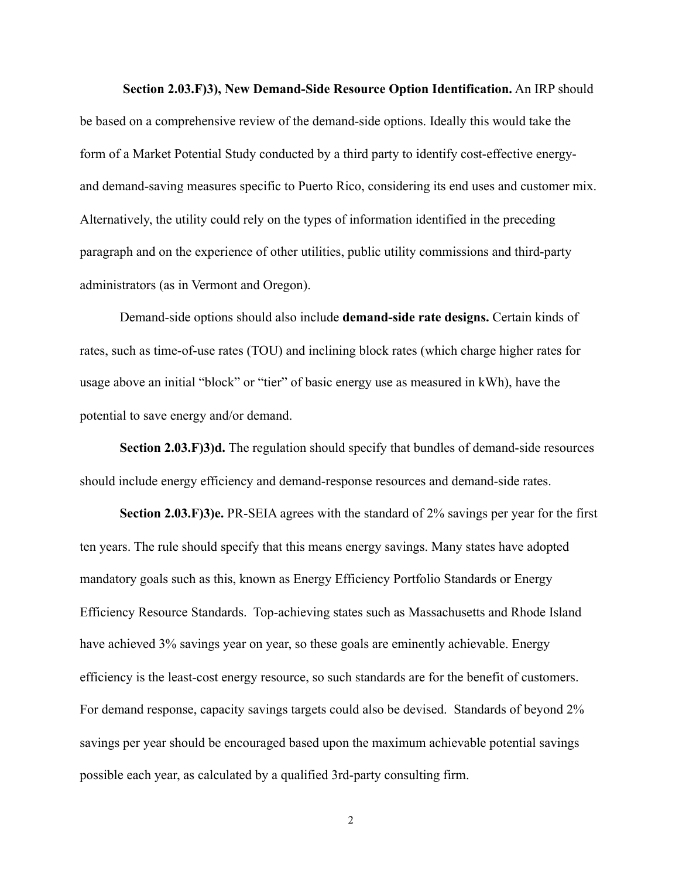**Section 2.03.F)3), New Demand-Side Resource Option Identification.** An IRP should be based on a comprehensive review of the demand-side options. Ideally this would take the form of a Market Potential Study conducted by a third party to identify cost-effective energyand demand-saving measures specific to Puerto Rico, considering its end uses and customer mix. Alternatively, the utility could rely on the types of information identified in the preceding paragraph and on the experience of other utilities, public utility commissions and third-party administrators (as in Vermont and Oregon).

Demand-side options should also include **demand-side rate designs.** Certain kinds of rates, such as time-of-use rates (TOU) and inclining block rates (which charge higher rates for usage above an initial "block" or "tier" of basic energy use as measured in kWh), have the potential to save energy and/or demand.

**Section 2.03.F)3)d.** The regulation should specify that bundles of demand-side resources should include energy efficiency and demand-response resources and demand-side rates.

**Section 2.03.F)3)e.** PR-SEIA agrees with the standard of 2% savings per year for the first ten years. The rule should specify that this means energy savings. Many states have adopted mandatory goals such as this, known as Energy Efficiency Portfolio Standards or Energy Efficiency Resource Standards. Top-achieving states such as Massachusetts and Rhode Island have achieved 3% savings year on year, so these goals are eminently achievable. Energy efficiency is the least-cost energy resource, so such standards are for the benefit of customers. For demand response, capacity savings targets could also be devised. Standards of beyond 2% savings per year should be encouraged based upon the maximum achievable potential savings possible each year, as calculated by a qualified 3rd-party consulting firm.

2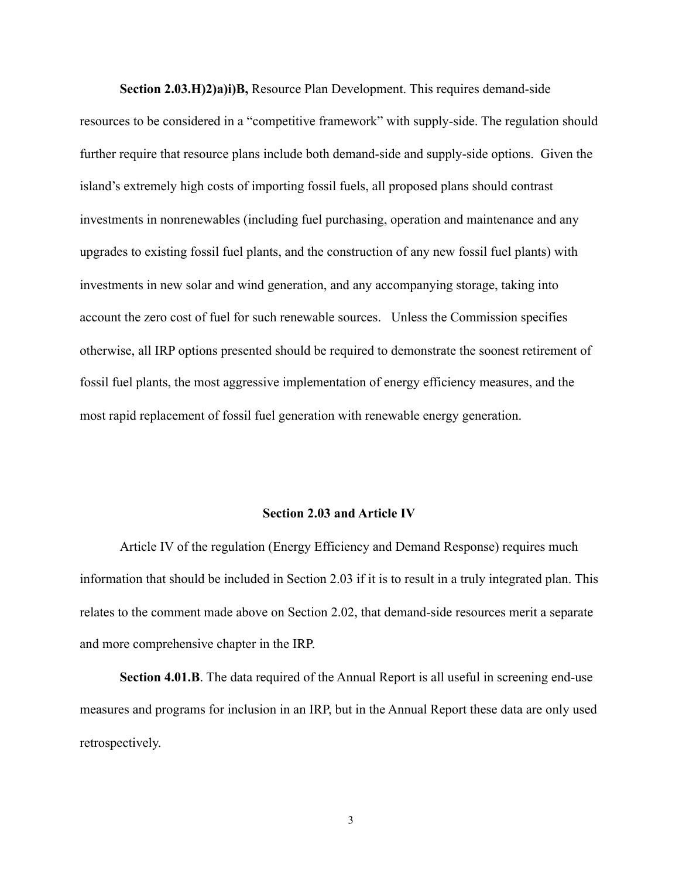**Section 2.03.H)2)a)i)B,** Resource Plan Development. This requires demand-side resources to be considered in a "competitive framework" with supply-side. The regulation should further require that resource plans include both demand-side and supply-side options. Given the island's extremely high costs of importing fossil fuels, all proposed plans should contrast investments in nonrenewables (including fuel purchasing, operation and maintenance and any upgrades to existing fossil fuel plants, and the construction of any new fossil fuel plants) with investments in new solar and wind generation, and any accompanying storage, taking into account the zero cost of fuel for such renewable sources. Unless the Commission specifies otherwise, all IRP options presented should be required to demonstrate the soonest retirement of fossil fuel plants, the most aggressive implementation of energy efficiency measures, and the most rapid replacement of fossil fuel generation with renewable energy generation.

## **Section 2.03 and Article IV**

Article IV of the regulation (Energy Efficiency and Demand Response) requires much information that should be included in Section 2.03 if it is to result in a truly integrated plan. This relates to the comment made above on Section 2.02, that demand-side resources merit a separate and more comprehensive chapter in the IRP.

**Section 4.01.B**. The data required of the Annual Report is all useful in screening end-use measures and programs for inclusion in an IRP, but in the Annual Report these data are only used retrospectively.